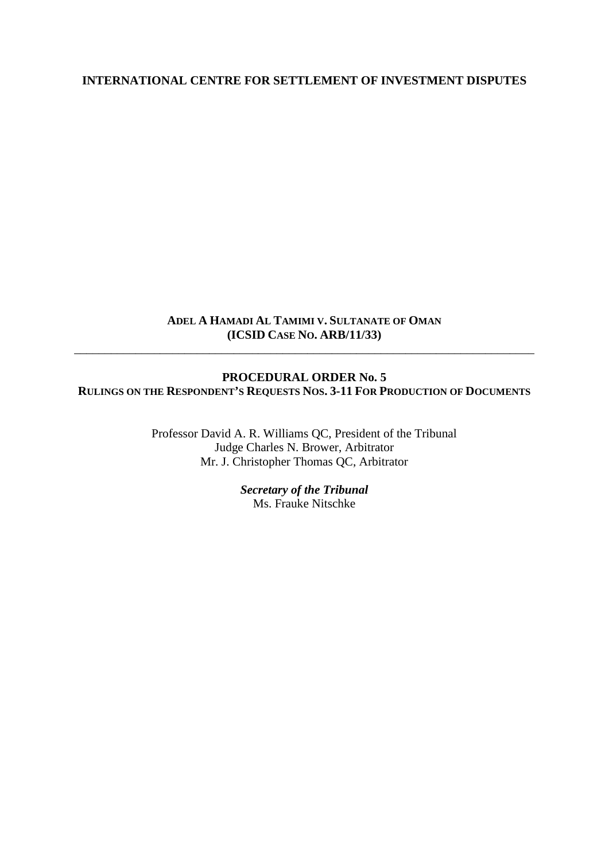#### **INTERNATIONAL CENTRE FOR SETTLEMENT OF INVESTMENT DISPUTES**

#### **ADEL A HAMADI AL TAMIMI V. SULTANATE OF OMAN (ICSID CASE NO. ARB/11/33)**

\_\_\_\_\_\_\_\_\_\_\_\_\_\_\_\_\_\_\_\_\_\_\_\_\_\_\_\_\_\_\_\_\_\_\_\_\_\_\_\_\_\_\_\_\_\_\_\_\_\_\_\_\_\_\_\_\_\_\_\_\_\_\_\_\_\_\_\_\_\_\_\_\_\_\_

# **PROCEDURAL ORDER No. 5 RULINGS ON THE RESPONDENT'S REQUESTS NOS. 3-11 FOR PRODUCTION OF DOCUMENTS**

Professor David A. R. Williams QC, President of the Tribunal Judge Charles N. Brower, Arbitrator Mr. J. Christopher Thomas QC, Arbitrator

> *Secretary of the Tribunal* Ms. Frauke Nitschke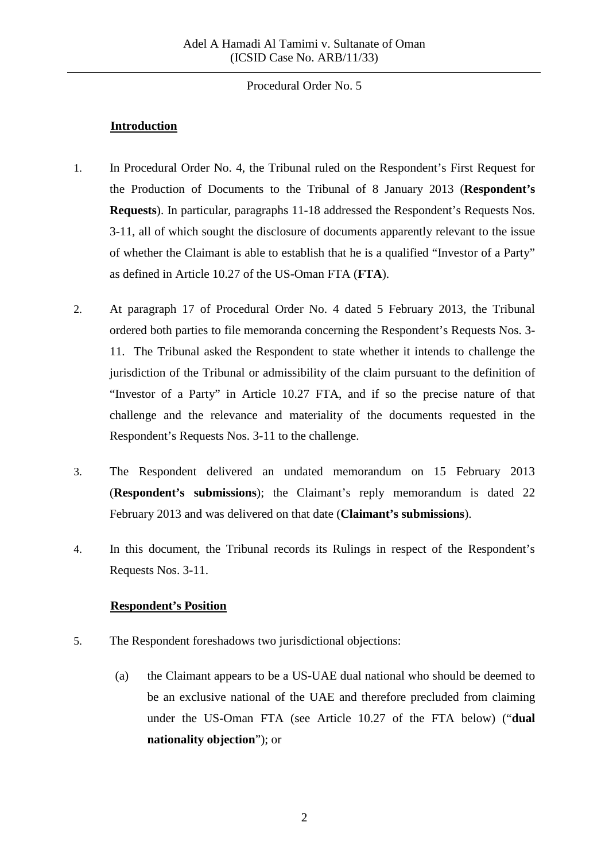## **Introduction**

- 1. In Procedural Order No. 4, the Tribunal ruled on the Respondent's First Request for the Production of Documents to the Tribunal of 8 January 2013 (**Respondent's Requests**). In particular, paragraphs 11-18 addressed the Respondent's Requests Nos. 3-11, all of which sought the disclosure of documents apparently relevant to the issue of whether the Claimant is able to establish that he is a qualified "Investor of a Party" as defined in Article 10.27 of the US-Oman FTA (**FTA**).
- 2. At paragraph 17 of Procedural Order No. 4 dated 5 February 2013, the Tribunal ordered both parties to file memoranda concerning the Respondent's Requests Nos. 3- 11. The Tribunal asked the Respondent to state whether it intends to challenge the jurisdiction of the Tribunal or admissibility of the claim pursuant to the definition of "Investor of a Party" in Article 10.27 FTA, and if so the precise nature of that challenge and the relevance and materiality of the documents requested in the Respondent's Requests Nos. 3-11 to the challenge.
- 3. The Respondent delivered an undated memorandum on 15 February 2013 (**Respondent's submissions**); the Claimant's reply memorandum is dated 22 February 2013 and was delivered on that date (**Claimant's submissions**).
- 4. In this document, the Tribunal records its Rulings in respect of the Respondent's Requests Nos. 3-11.

# **Respondent's Position**

- 5. The Respondent foreshadows two jurisdictional objections:
	- (a) the Claimant appears to be a US-UAE dual national who should be deemed to be an exclusive national of the UAE and therefore precluded from claiming under the US-Oman FTA (see Article 10.27 of the FTA below) ("**dual nationality objection**"); or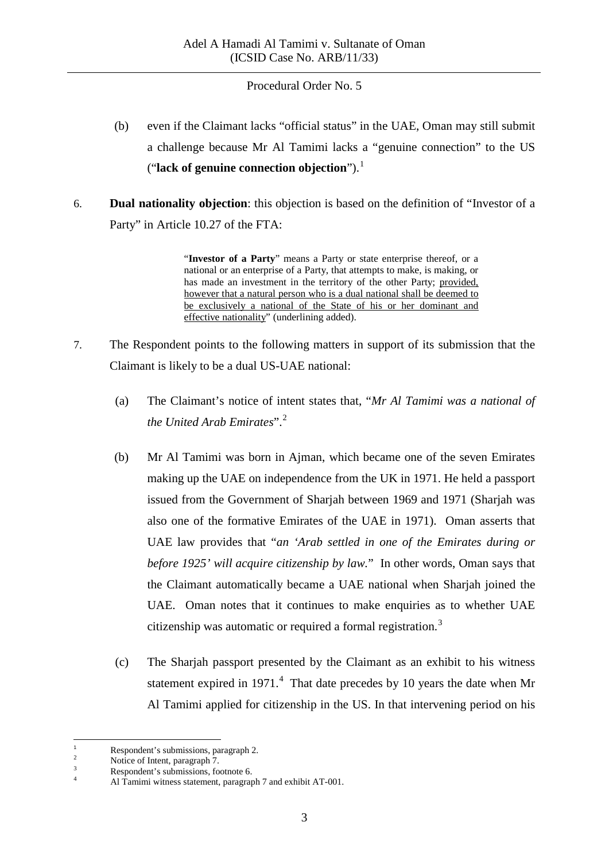- (b) even if the Claimant lacks "official status" in the UAE, Oman may still submit a challenge because Mr Al Tamimi lacks a "genuine connection" to the US ("**lack of genuine connection objection**").[1](#page-2-0)
- 6. **Dual nationality objection**: this objection is based on the definition of "Investor of a Party" in Article 10.27 of the FTA:

"**Investor of a Party**" means a Party or state enterprise thereof, or a national or an enterprise of a Party, that attempts to make, is making, or has made an investment in the territory of the other Party; provided, however that a natural person who is a dual national shall be deemed to be exclusively a national of the State of his or her dominant and effective nationality" (underlining added).

- 7. The Respondent points to the following matters in support of its submission that the Claimant is likely to be a dual US-UAE national:
	- (a) The Claimant's notice of intent states that, "*Mr Al Tamimi was a national of the United Arab Emirates*".[2](#page-2-1)
	- (b) Mr Al Tamimi was born in Ajman, which became one of the seven Emirates making up the UAE on independence from the UK in 1971. He held a passport issued from the Government of Sharjah between 1969 and 1971 (Sharjah was also one of the formative Emirates of the UAE in 1971). Oman asserts that UAE law provides that "*an 'Arab settled in one of the Emirates during or before 1925' will acquire citizenship by law.*" In other words, Oman says that the Claimant automatically became a UAE national when Sharjah joined the UAE. Oman notes that it continues to make enquiries as to whether UAE citizenship was automatic or required a formal registration.<sup>[3](#page-2-2)</sup>
	- (c) The Sharjah passport presented by the Claimant as an exhibit to his witness statement expired in 1971. $4$  That date precedes by 10 years the date when Mr Al Tamimi applied for citizenship in the US. In that intervening period on his

<span id="page-2-3"></span><span id="page-2-2"></span>

<span id="page-2-1"></span><span id="page-2-0"></span><sup>1</sup> Respondent's submissions, paragraph 2.<br>
2 Notice of Intent, paragraph 7.<br>
2 Respondent's submissions, footnote 6.<br>
4 Al Tamimi witness statement, paragraph 7 and exhibit AT-001.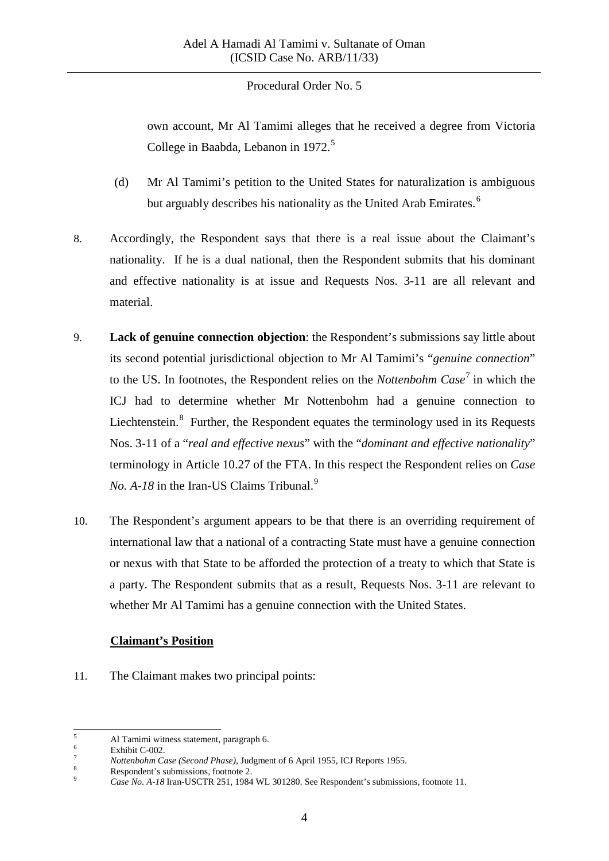own account, Mr Al Tamimi alleges that he received a degree from Victoria College in Baabda, Lebanon in 1972.<sup>[5](#page-3-0)</sup>

- (d) Mr Al Tamimi's petition to the United States for naturalization is ambiguous but arguably describes his nationality as the United Arab Emirates.<sup>[6](#page-3-1)</sup>
- 8. Accordingly, the Respondent says that there is a real issue about the Claimant's nationality. If he is a dual national, then the Respondent submits that his dominant and effective nationality is at issue and Requests Nos. 3-11 are all relevant and material.
- 9. **Lack of genuine connection objection**: the Respondent's submissions say little about its second potential jurisdictional objection to Mr Al Tamimi's "*genuine connection*" to the US. In footnotes, the Respondent relies on the *Nottenbohm Case* [7](#page-3-2) in which the ICJ had to determine whether Mr Nottenbohm had a genuine connection to Liechtenstein. $<sup>8</sup>$  $<sup>8</sup>$  $<sup>8</sup>$  Further, the Respondent equates the terminology used in its Requests</sup> Nos. 3-11 of a "*real and effective nexus*" with the "*dominant and effective nationality*" terminology in Article 10.27 of the FTA. In this respect the Respondent relies on *Case No. A-18* in the Iran-US Claims Tribunal.<sup>[9](#page-3-4)</sup>
- 10. The Respondent's argument appears to be that there is an overriding requirement of international law that a national of a contracting State must have a genuine connection or nexus with that State to be afforded the protection of a treaty to which that State is a party. The Respondent submits that as a result, Requests Nos. 3-11 are relevant to whether Mr Al Tamimi has a genuine connection with the United States.

### **Claimant's Position**

11. The Claimant makes two principal points:

<span id="page-3-0"></span>

<span id="page-3-2"></span><span id="page-3-1"></span>

<sup>&</sup>lt;sup>5</sup><br>Al Tamimi witness statement, paragraph 6.<br>Exhibit C-002.<br>Nottenbohm Case (Second Phase), Judgment of 6 April 1955, ICJ Reports 1955.<br>Respondent's submissions, footnote 2.<br>Case No. A-18 Iran-USCTR 251, 1984 WL 301280. S

<span id="page-3-3"></span>

<span id="page-3-4"></span>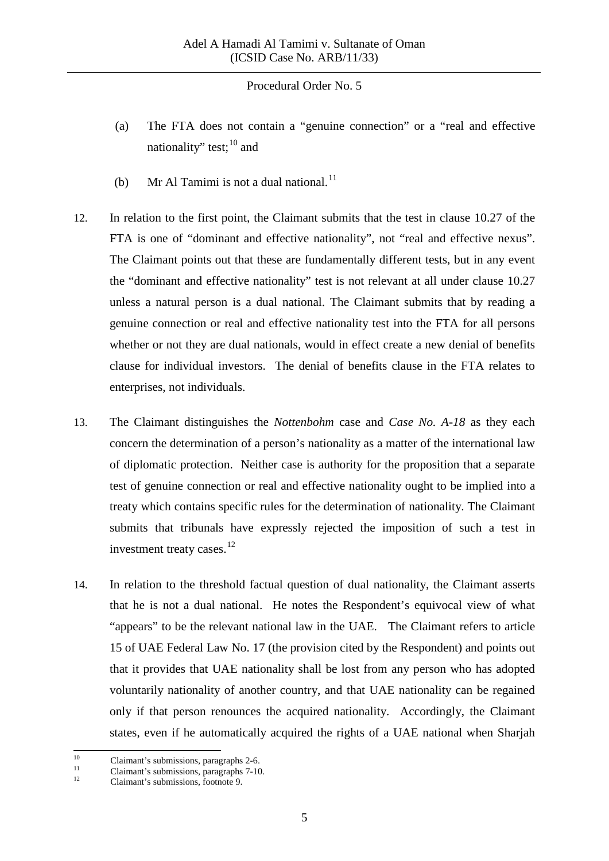- (a) The FTA does not contain a "genuine connection" or a "real and effective nationality" test;  $^{10}$  $^{10}$  $^{10}$  and
- (b) Mr Al Tamimi is not a dual national.<sup>[11](#page-4-1)</sup>
- 12. In relation to the first point, the Claimant submits that the test in clause 10.27 of the FTA is one of "dominant and effective nationality", not "real and effective nexus". The Claimant points out that these are fundamentally different tests, but in any event the "dominant and effective nationality" test is not relevant at all under clause 10.27 unless a natural person is a dual national. The Claimant submits that by reading a genuine connection or real and effective nationality test into the FTA for all persons whether or not they are dual nationals, would in effect create a new denial of benefits clause for individual investors. The denial of benefits clause in the FTA relates to enterprises, not individuals.
- 13. The Claimant distinguishes the *Nottenbohm* case and *Case No. A-18* as they each concern the determination of a person's nationality as a matter of the international law of diplomatic protection. Neither case is authority for the proposition that a separate test of genuine connection or real and effective nationality ought to be implied into a treaty which contains specific rules for the determination of nationality. The Claimant submits that tribunals have expressly rejected the imposition of such a test in investment treaty cases. [12](#page-4-2)
- 14. In relation to the threshold factual question of dual nationality, the Claimant asserts that he is not a dual national. He notes the Respondent's equivocal view of what "appears" to be the relevant national law in the UAE. The Claimant refers to article 15 of UAE Federal Law No. 17 (the provision cited by the Respondent) and points out that it provides that UAE nationality shall be lost from any person who has adopted voluntarily nationality of another country, and that UAE nationality can be regained only if that person renounces the acquired nationality. Accordingly, the Claimant states, even if he automatically acquired the rights of a UAE national when Sharjah

<span id="page-4-1"></span><span id="page-4-0"></span><sup>10</sup> Claimant's submissions, paragraphs 2-6.<br>
11 Claimant's submissions, paragraphs 7-10.<br>
Claimant's submissions, footnote 9.

<span id="page-4-2"></span>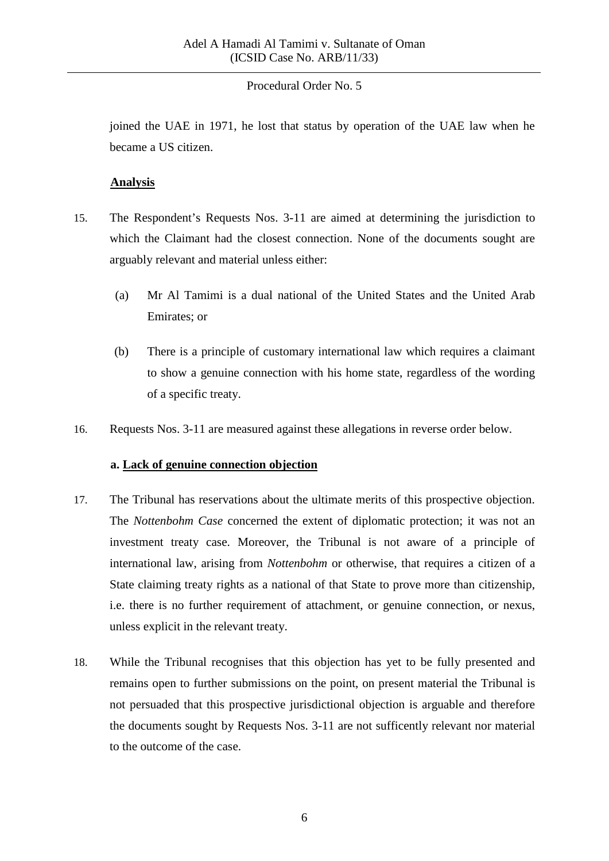joined the UAE in 1971, he lost that status by operation of the UAE law when he became a US citizen.

### **Analysis**

- 15. The Respondent's Requests Nos. 3-11 are aimed at determining the jurisdiction to which the Claimant had the closest connection. None of the documents sought are arguably relevant and material unless either:
	- (a) Mr Al Tamimi is a dual national of the United States and the United Arab Emirates; or
	- (b) There is a principle of customary international law which requires a claimant to show a genuine connection with his home state, regardless of the wording of a specific treaty.
- 16. Requests Nos. 3-11 are measured against these allegations in reverse order below.

### **a. Lack of genuine connection objection**

- 17. The Tribunal has reservations about the ultimate merits of this prospective objection. The *Nottenbohm Case* concerned the extent of diplomatic protection; it was not an investment treaty case. Moreover, the Tribunal is not aware of a principle of international law, arising from *Nottenbohm* or otherwise, that requires a citizen of a State claiming treaty rights as a national of that State to prove more than citizenship, i.e. there is no further requirement of attachment, or genuine connection, or nexus, unless explicit in the relevant treaty.
- 18. While the Tribunal recognises that this objection has yet to be fully presented and remains open to further submissions on the point, on present material the Tribunal is not persuaded that this prospective jurisdictional objection is arguable and therefore the documents sought by Requests Nos. 3-11 are not sufficently relevant nor material to the outcome of the case.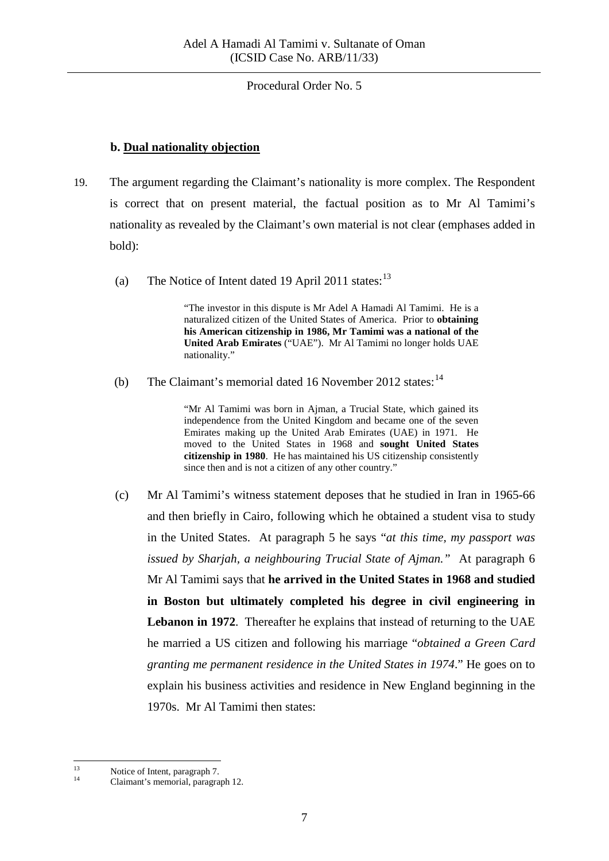#### **b. Dual nationality objection**

- 19. The argument regarding the Claimant's nationality is more complex. The Respondent is correct that on present material, the factual position as to Mr Al Tamimi's nationality as revealed by the Claimant's own material is not clear (emphases added in bold):
	- (a) The Notice of Intent dated 19 April 2011 states: $13$

"The investor in this dispute is Mr Adel A Hamadi Al Tamimi. He is a naturalized citizen of the United States of America. Prior to **obtaining his American citizenship in 1986, Mr Tamimi was a national of the United Arab Emirates** ("UAE"). Mr Al Tamimi no longer holds UAE nationality."

(b) The Claimant's memorial dated 16 November 2012 states:  $14$ 

"Mr Al Tamimi was born in Ajman, a Trucial State, which gained its independence from the United Kingdom and became one of the seven Emirates making up the United Arab Emirates (UAE) in 1971. He moved to the United States in 1968 and **sought United States citizenship in 1980**. He has maintained his US citizenship consistently since then and is not a citizen of any other country."

(c) Mr Al Tamimi's witness statement deposes that he studied in Iran in 1965-66 and then briefly in Cairo, following which he obtained a student visa to study in the United States. At paragraph 5 he says "*at this time, my passport was issued by Sharjah, a neighbouring Trucial State of Ajman."* At paragraph 6 Mr Al Tamimi says that **he arrived in the United States in 1968 and studied in Boston but ultimately completed his degree in civil engineering in Lebanon in 1972**. Thereafter he explains that instead of returning to the UAE he married a US citizen and following his marriage "*obtained a Green Card granting me permanent residence in the United States in 1974*." He goes on to explain his business activities and residence in New England beginning in the 1970s. Mr Al Tamimi then states:

<span id="page-6-1"></span><span id="page-6-0"></span><sup>&</sup>lt;sup>13</sup> Notice of Intent, paragraph 7.<br><sup>14</sup> Claimant's memorial, paragraph 12.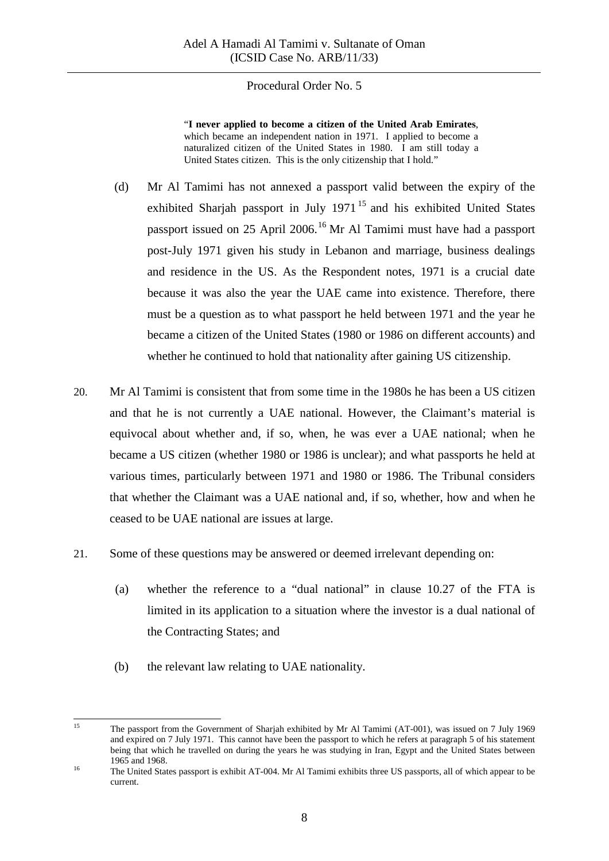"**I never applied to become a citizen of the United Arab Emirates**, which became an independent nation in 1971. I applied to become a naturalized citizen of the United States in 1980. I am still today a United States citizen. This is the only citizenship that I hold."

- (d) Mr Al Tamimi has not annexed a passport valid between the expiry of the exhibited Sharjah passport in July 1971<sup>[15](#page-7-0)</sup> and his exhibited United States passport issued on 25 April 2006.[16](#page-7-1) Mr Al Tamimi must have had a passport post-July 1971 given his study in Lebanon and marriage, business dealings and residence in the US. As the Respondent notes, 1971 is a crucial date because it was also the year the UAE came into existence. Therefore, there must be a question as to what passport he held between 1971 and the year he became a citizen of the United States (1980 or 1986 on different accounts) and whether he continued to hold that nationality after gaining US citizenship.
- 20. Mr Al Tamimi is consistent that from some time in the 1980s he has been a US citizen and that he is not currently a UAE national. However, the Claimant's material is equivocal about whether and, if so, when, he was ever a UAE national; when he became a US citizen (whether 1980 or 1986 is unclear); and what passports he held at various times, particularly between 1971 and 1980 or 1986. The Tribunal considers that whether the Claimant was a UAE national and, if so, whether, how and when he ceased to be UAE national are issues at large.
- 21. Some of these questions may be answered or deemed irrelevant depending on:
	- (a) whether the reference to a "dual national" in clause 10.27 of the FTA is limited in its application to a situation where the investor is a dual national of the Contracting States; and
	- (b) the relevant law relating to UAE nationality.

<span id="page-7-0"></span><sup>&</sup>lt;sup>15</sup> The passport from the Government of Sharjah exhibited by Mr Al Tamimi (AT-001), was issued on 7 July 1969 and expired on 7 July 1971. This cannot have been the passport to which he refers at paragraph 5 of his statement being that which he travelled on during the years he was studying in Iran, Egypt and the United States between 1965 and 1968.<br>
16 The United States passport is exhibit AT-004. Mr Al Tamimi exhibits three US passports, all of which appear to be

<span id="page-7-1"></span>current.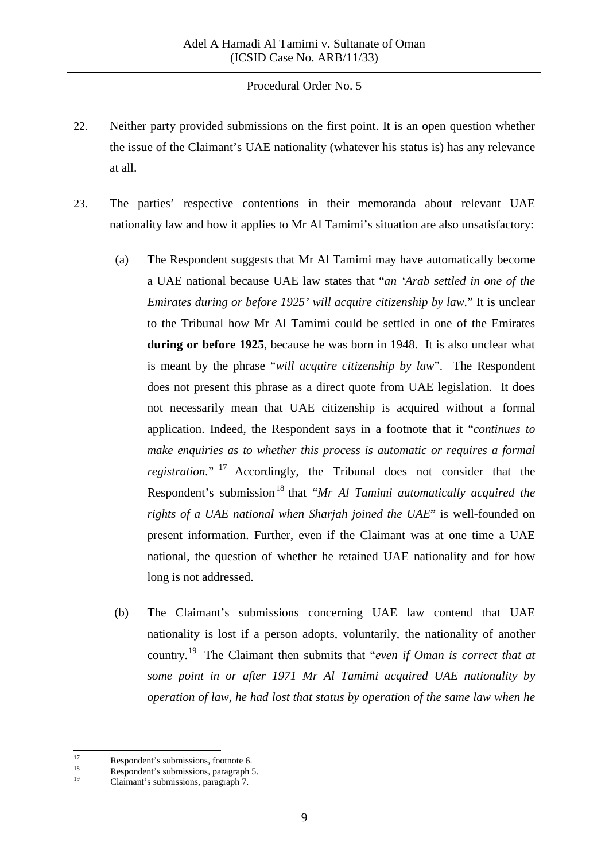- 22. Neither party provided submissions on the first point. It is an open question whether the issue of the Claimant's UAE nationality (whatever his status is) has any relevance at all.
- 23. The parties' respective contentions in their memoranda about relevant UAE nationality law and how it applies to Mr Al Tamimi's situation are also unsatisfactory:
	- (a) The Respondent suggests that Mr Al Tamimi may have automatically become a UAE national because UAE law states that "*an 'Arab settled in one of the Emirates during or before 1925' will acquire citizenship by law.*" It is unclear to the Tribunal how Mr Al Tamimi could be settled in one of the Emirates **during or before 1925**, because he was born in 1948. It is also unclear what is meant by the phrase "*will acquire citizenship by law*". The Respondent does not present this phrase as a direct quote from UAE legislation. It does not necessarily mean that UAE citizenship is acquired without a formal application. Indeed, the Respondent says in a footnote that it "*continues to make enquiries as to whether this process is automatic or requires a formal registration.*" [17](#page-8-0) Accordingly, the Tribunal does not consider that the Respondent's submission<sup>[18](#page-8-1)</sup> that "*Mr Al Tamimi automatically acquired the rights of a UAE national when Sharjah joined the UAE*" is well-founded on present information. Further, even if the Claimant was at one time a UAE national, the question of whether he retained UAE nationality and for how long is not addressed.
	- (b) The Claimant's submissions concerning UAE law contend that UAE nationality is lost if a person adopts, voluntarily, the nationality of another country.[19](#page-8-2) The Claimant then submits that "*even if Oman is correct that at some point in or after 1971 Mr Al Tamimi acquired UAE nationality by operation of law, he had lost that status by operation of the same law when he*

<span id="page-8-1"></span><span id="page-8-0"></span><sup>17</sup> Respondent's submissions, footnote 6.<br>
18 Respondent's submissions, paragraph 5.<br>
Claimant's submissions, paragraph 7.

<span id="page-8-2"></span>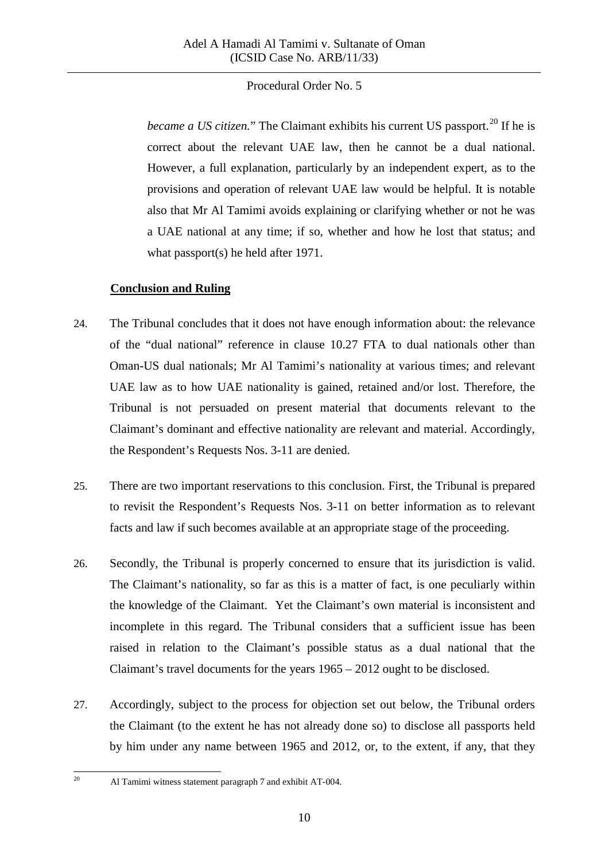*became a US citizen.*" The Claimant exhibits his current US passport.<sup>[20](#page-9-0)</sup> If he is correct about the relevant UAE law, then he cannot be a dual national. However, a full explanation, particularly by an independent expert, as to the provisions and operation of relevant UAE law would be helpful. It is notable also that Mr Al Tamimi avoids explaining or clarifying whether or not he was a UAE national at any time; if so, whether and how he lost that status; and what passport(s) he held after 1971.

# **Conclusion and Ruling**

- 24. The Tribunal concludes that it does not have enough information about: the relevance of the "dual national" reference in clause 10.27 FTA to dual nationals other than Oman-US dual nationals; Mr Al Tamimi's nationality at various times; and relevant UAE law as to how UAE nationality is gained, retained and/or lost. Therefore, the Tribunal is not persuaded on present material that documents relevant to the Claimant's dominant and effective nationality are relevant and material. Accordingly, the Respondent's Requests Nos. 3-11 are denied.
- 25. There are two important reservations to this conclusion. First, the Tribunal is prepared to revisit the Respondent's Requests Nos. 3-11 on better information as to relevant facts and law if such becomes available at an appropriate stage of the proceeding.
- 26. Secondly, the Tribunal is properly concerned to ensure that its jurisdiction is valid. The Claimant's nationality, so far as this is a matter of fact, is one peculiarly within the knowledge of the Claimant. Yet the Claimant's own material is inconsistent and incomplete in this regard. The Tribunal considers that a sufficient issue has been raised in relation to the Claimant's possible status as a dual national that the Claimant's travel documents for the years 1965 – 2012 ought to be disclosed.
- 27. Accordingly, subject to the process for objection set out below, the Tribunal orders the Claimant (to the extent he has not already done so) to disclose all passports held by him under any name between 1965 and 2012, or, to the extent, if any, that they
- <span id="page-9-0"></span><sup>20</sup> Al Tamimi witness statement paragraph 7 and exhibit AT-004.